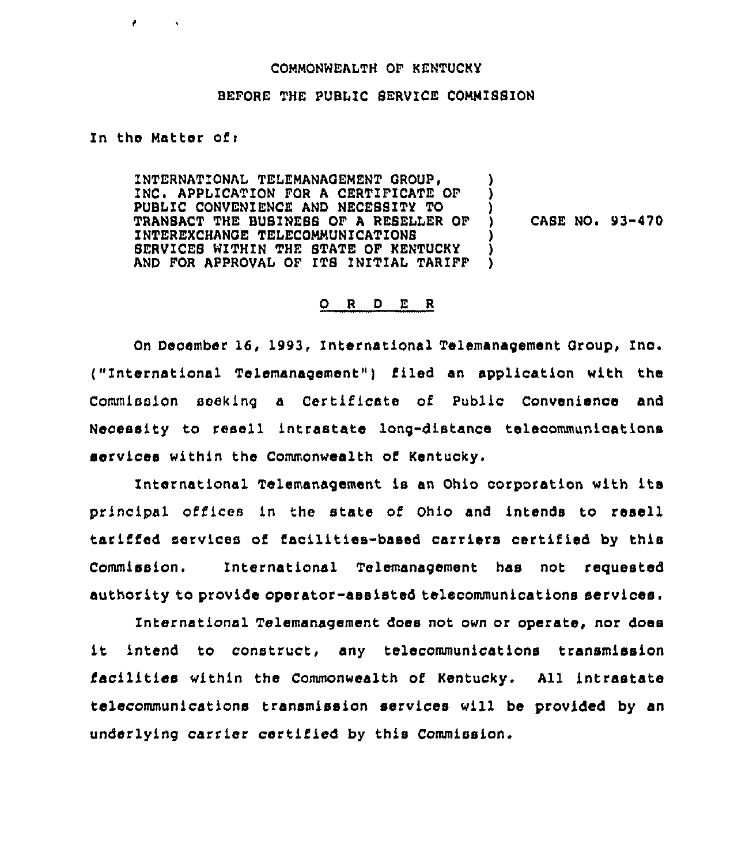## COMMONWEALTH OF KENTUCKY

## BEFORE THE PUBLIC SERVICE COMMISSION

## In the Matter of:

ł.

INTERNATIONAL TELEMANAGEMENT GROUP, INC. APPLICATION FOR A CERTIFICATE OF PUBLIC CONVENIENCE AND NECESSITY TO TRANSACT THE BUSINESS OF <sup>A</sup> RESELLER OF ZNTEREXCHANGE TELECOMMUNZCATZONS SERVICES WITHIN THE STATE OF KENTUCKY AND FOR APPROVAL OF ITS INITIAL TARIFF ) ) ) ) CASE NO. 93-470 ) ) )

## 0 <sup>R</sup> <sup>D</sup> <sup>E</sup> <sup>R</sup>

On December 16, 1993, International Telemanagement Group, Inc. ("International Telemanagement") filed an application with the Commission seeking a Certificate of Public Convenienoe and Necessity to resell intrastate long-distance telecommunications services within the Commonwealth of Kentucky.

International Telemanagement is an Ohio corporation with its principal offices in the state of Ohio and intends to resell tariffed services of facilities-based carriers certified by this Commission. International Telemanagement has not requested authority to provide operator-assisted telecommunications services.

International Telemanagement does not own or operate, nor does it intend to construct, any telecommunications transmission facilities within the Commonwealth of Kentucky. All intrastate telecommunications transmission services will be provided by an underlying carrier certified by this Commission.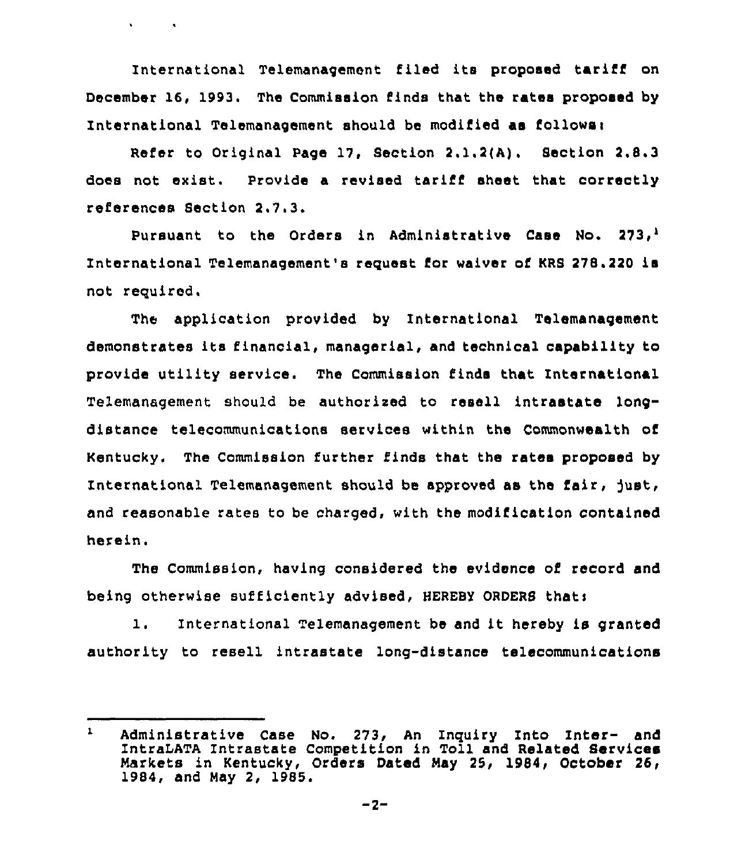International Telemanagement filed its proposed tariff on December 16, 1993. The Commission finds that the rates proposed by International Telemanagement should be modified as followers

 $\mathbf{v} = \mathbf{v} \times \mathbf{v}$  .  $\mathbf{v} = \mathbf{v}$ 

Refer to Original Page 17, Section 2.1.2(A). Section 2.8.3 does not exist. Provide a revised tariff sheet that correctly references Section 2.7.3.

Pursuant to the Orders in Administrative Case No. 273 International Telemanagement's request for waiver of KRS 278.220 is not required.

The application provided by International Telemanagement demonstrates its financial, managerial, and technical capability to provide utility service. The Commission finds that International Telemanagement should be authorised to resell intrastate longdistance telecommunications services within the Commonwealth of Kentucky. The Commission further finds that the rates proposed by International Telemanagement should be approved as the fair, just, and reasonable rates to be charged, with the modification contained herein <sup>~</sup>

The Commission, having considered the evidence of record and being otherwise sufficiently advised, HEREBY ORDERS that:

l. International Telemanagement be and it hereby is granted authority to resell intrastate long-distance telecommunications

 $\mathbf{1}$ Administrative Case No. 273, An Inquiry Into Inter- and IntraLATA Intrastate Competition in Toll and Related Services Markets in Kentucky, Orders Dated May 25, 1984, October 26, 1984, and May 2, 1985.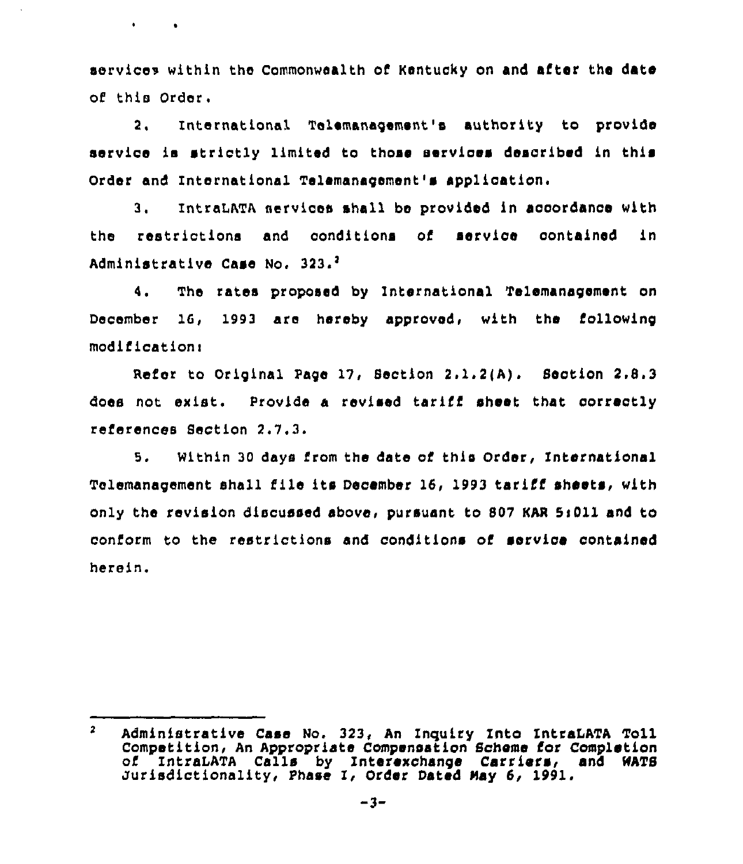sorvices within the Commonwealth of Kentucky on and after the date of this Ordar.

 $\mathbf{A}$  and  $\mathbf{A}$ 

2, International Tolemsnagemsnt's authority to provldo service is strictly limited to those services described in this Order and Intornatlonal Telemanagement's appllaatlon.

3. IntraLATA services shall be provided in accordance with the restrictions and conditions of service contained in Administrative Case No. 323.<sup>2</sup>

4. Tho rates proposed by International Telemanagement on Docombor 16, 1993 aro hereby approved, with the fallowing modl f1cat loni

Rofor to Original Page 17, Section 2,1.2(A). Section 2.8.3 does not eslst. Provide a revised tariff sheet that correctly references Section 2.7,3,

5. Within 30 days l'rom the date of this Order, International Tolemanagement shall file its December 16, 1993 tariff sheets, with only the revision discussed above, pursuant to 807 KAR 5:011 and to conform to the restrictions and conditions of sorvlce contained herein.

 $\overline{\mathbf{z}}$ Administrative Case No. 323, An Inquiry Into IntraLATA Toll Competition, An Appropriate Compensation Schome for Completion of IntraLATA Calls by Interexchange Carriers, Jurisdictionality, Phase I, Order Dated May 6, 1991.